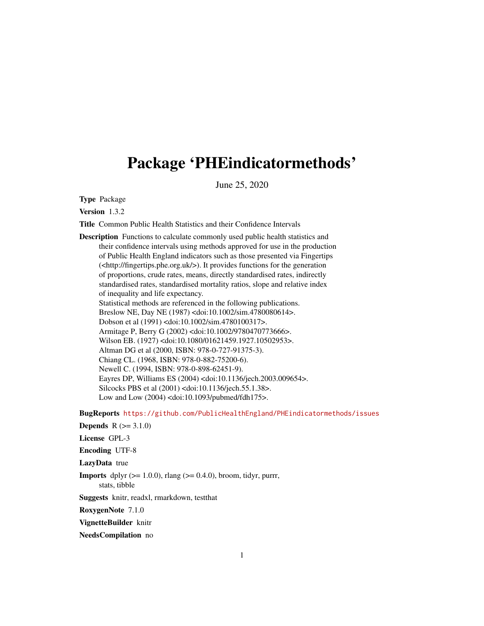# Package 'PHEindicatormethods'

June 25, 2020

Type Package

Version 1.3.2

Title Common Public Health Statistics and their Confidence Intervals

Description Functions to calculate commonly used public health statistics and their confidence intervals using methods approved for use in the production of Public Health England indicators such as those presented via Fingertips (<http://fingertips.phe.org.uk/>). It provides functions for the generation of proportions, crude rates, means, directly standardised rates, indirectly standardised rates, standardised mortality ratios, slope and relative index of inequality and life expectancy. Statistical methods are referenced in the following publications. Breslow NE, Day NE (1987) <doi:10.1002/sim.4780080614>. Dobson et al (1991) <doi:10.1002/sim.4780100317>. Armitage P, Berry G (2002) <doi:10.1002/9780470773666>. Wilson EB. (1927) <doi:10.1080/01621459.1927.10502953>. Altman DG et al (2000, ISBN: 978-0-727-91375-3). Chiang CL. (1968, ISBN: 978-0-882-75200-6). Newell C. (1994, ISBN: 978-0-898-62451-9). Eayres DP, Williams ES (2004) <doi:10.1136/jech.2003.009654>. Silcocks PBS et al (2001) <doi:10.1136/jech.55.1.38>. Low and Low (2004) <doi:10.1093/pubmed/fdh175>.

BugReports <https://github.com/PublicHealthEngland/PHEindicatormethods/issues>

**Depends**  $R (=3.1.0)$ 

License GPL-3

Encoding UTF-8

LazyData true

**Imports** dplyr  $(>= 1.0.0)$ , rlang  $(>= 0.4.0)$ , broom, tidyr, purrr, stats, tibble

Suggests knitr, readxl, rmarkdown, testthat

RoxygenNote 7.1.0

VignetteBuilder knitr

NeedsCompilation no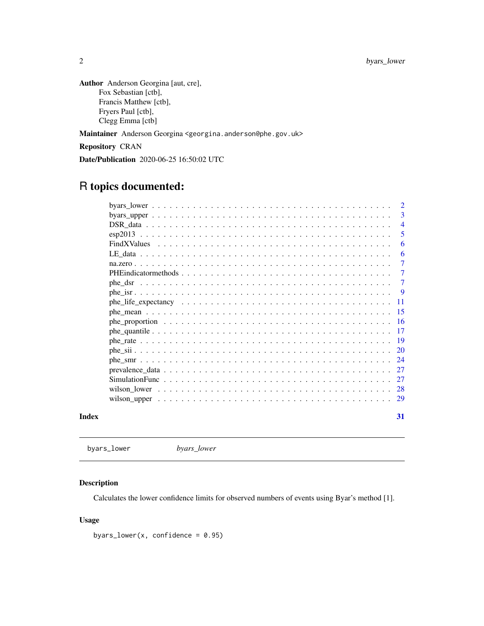<span id="page-1-0"></span>2 byars\_lower

Author Anderson Georgina [aut, cre], Fox Sebastian [ctb], Francis Matthew [ctb], Fryers Paul [ctb], Clegg Emma [ctb]

Maintainer Anderson Georgina <georgina.anderson@phe.gov.uk>

Repository CRAN

Date/Publication 2020-06-25 16:50:02 UTC

## R topics documented:

| by $\frac{1}{2}$ by $\frac{1}{2}$ by $\frac{1}{2}$ by $\frac{1}{2}$ by $\frac{1}{2}$ by $\frac{1}{2}$ by $\frac{1}{2}$ by $\frac{1}{2}$ by $\frac{1}{2}$ by $\frac{1}{2}$ by $\frac{1}{2}$ by $\frac{1}{2}$ by $\frac{1}{2}$ by $\frac{1}{2}$ by $\frac{1}{2}$ by $\frac{1}{2}$ by $\frac{1}{2}$ |  |  |  |  |  |  |  |  |  |  |  |  |  |  | $\overline{2}$ |  |
|--------------------------------------------------------------------------------------------------------------------------------------------------------------------------------------------------------------------------------------------------------------------------------------------------|--|--|--|--|--|--|--|--|--|--|--|--|--|--|----------------|--|
|                                                                                                                                                                                                                                                                                                  |  |  |  |  |  |  |  |  |  |  |  |  |  |  | 3              |  |
|                                                                                                                                                                                                                                                                                                  |  |  |  |  |  |  |  |  |  |  |  |  |  |  | $\overline{4}$ |  |
|                                                                                                                                                                                                                                                                                                  |  |  |  |  |  |  |  |  |  |  |  |  |  |  | 5              |  |
|                                                                                                                                                                                                                                                                                                  |  |  |  |  |  |  |  |  |  |  |  |  |  |  | 6              |  |
|                                                                                                                                                                                                                                                                                                  |  |  |  |  |  |  |  |  |  |  |  |  |  |  | 6              |  |
|                                                                                                                                                                                                                                                                                                  |  |  |  |  |  |  |  |  |  |  |  |  |  |  | 7              |  |
|                                                                                                                                                                                                                                                                                                  |  |  |  |  |  |  |  |  |  |  |  |  |  |  | $\tau$         |  |
|                                                                                                                                                                                                                                                                                                  |  |  |  |  |  |  |  |  |  |  |  |  |  |  | $\tau$         |  |
|                                                                                                                                                                                                                                                                                                  |  |  |  |  |  |  |  |  |  |  |  |  |  |  | -9             |  |
|                                                                                                                                                                                                                                                                                                  |  |  |  |  |  |  |  |  |  |  |  |  |  |  | -11            |  |
|                                                                                                                                                                                                                                                                                                  |  |  |  |  |  |  |  |  |  |  |  |  |  |  | 15             |  |
|                                                                                                                                                                                                                                                                                                  |  |  |  |  |  |  |  |  |  |  |  |  |  |  |                |  |
|                                                                                                                                                                                                                                                                                                  |  |  |  |  |  |  |  |  |  |  |  |  |  |  | -17            |  |
|                                                                                                                                                                                                                                                                                                  |  |  |  |  |  |  |  |  |  |  |  |  |  |  | -19            |  |
|                                                                                                                                                                                                                                                                                                  |  |  |  |  |  |  |  |  |  |  |  |  |  |  |                |  |
|                                                                                                                                                                                                                                                                                                  |  |  |  |  |  |  |  |  |  |  |  |  |  |  |                |  |
|                                                                                                                                                                                                                                                                                                  |  |  |  |  |  |  |  |  |  |  |  |  |  |  |                |  |
|                                                                                                                                                                                                                                                                                                  |  |  |  |  |  |  |  |  |  |  |  |  |  |  | 27             |  |
|                                                                                                                                                                                                                                                                                                  |  |  |  |  |  |  |  |  |  |  |  |  |  |  |                |  |
|                                                                                                                                                                                                                                                                                                  |  |  |  |  |  |  |  |  |  |  |  |  |  |  |                |  |
|                                                                                                                                                                                                                                                                                                  |  |  |  |  |  |  |  |  |  |  |  |  |  |  | 31             |  |

<span id="page-1-1"></span>byars\_lower *byars\_lower*

## Description

Calculates the lower confidence limits for observed numbers of events using Byar's method [1].

## Usage

byars\_lower(x, confidence =  $0.95$ )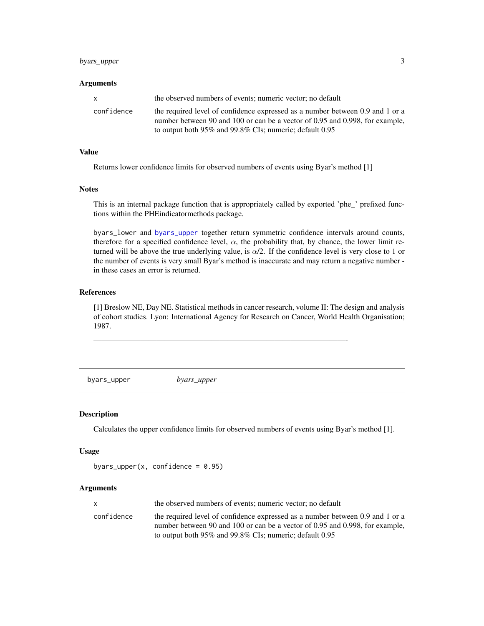## <span id="page-2-0"></span>byars\_upper 3

#### Arguments

| <b>X</b>   | the observed numbers of events; numeric vector; no default                                                                                                                                                                     |
|------------|--------------------------------------------------------------------------------------------------------------------------------------------------------------------------------------------------------------------------------|
| confidence | the required level of confidence expressed as a number between 0.9 and 1 or a<br>number between 90 and 100 or can be a vector of 0.95 and 0.998, for example,<br>to output both $95\%$ and $99.8\%$ CIs; numeric; default 0.95 |

#### Value

Returns lower confidence limits for observed numbers of events using Byar's method [1]

## **Notes**

This is an internal package function that is appropriately called by exported 'phe\_' prefixed functions within the PHEindicatormethods package.

byars\_lower and [byars\\_upper](#page-2-1) together return symmetric confidence intervals around counts, therefore for a specified confidence level,  $\alpha$ , the probability that, by chance, the lower limit returned will be above the true underlying value, is  $\alpha/2$ . If the confidence level is very close to 1 or the number of events is very small Byar's method is inaccurate and may return a negative number in these cases an error is returned.

## References

[1] Breslow NE, Day NE. Statistical methods in cancer research, volume II: The design and analysis of cohort studies. Lyon: International Agency for Research on Cancer, World Health Organisation; 1987.

————————————————————————————————-

<span id="page-2-1"></span>byars\_upper *byars\_upper*

## Description

Calculates the upper confidence limits for observed numbers of events using Byar's method [1].

#### Usage

```
byars_upper(x, confidence = 0.95)
```
#### Arguments

|            | the observed numbers of events; numeric vector; no default                    |
|------------|-------------------------------------------------------------------------------|
| confidence | the required level of confidence expressed as a number between 0.9 and 1 or a |
|            | number between 90 and 100 or can be a vector of 0.95 and 0.998, for example,  |
|            | to output both $95\%$ and $99.8\%$ CIs; numeric; default 0.95                 |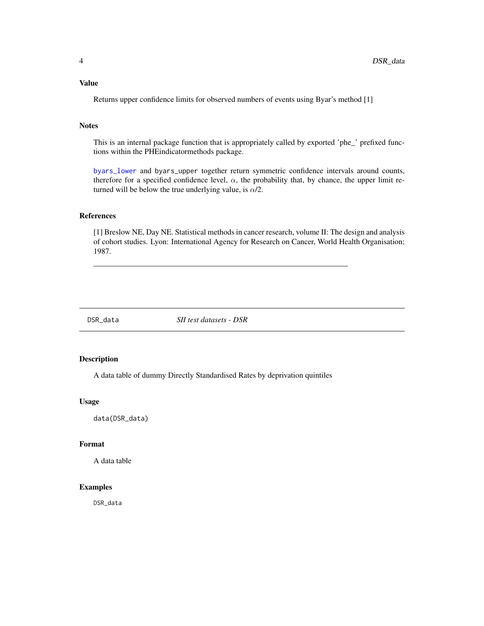## <span id="page-3-0"></span>Value

Returns upper confidence limits for observed numbers of events using Byar's method [1]

## **Notes**

This is an internal package function that is appropriately called by exported 'phe\_' prefixed functions within the PHEindicatormethods package.

[byars\\_lower](#page-1-1) and byars\_upper together return symmetric confidence intervals around counts, therefore for a specified confidence level,  $\alpha$ , the probability that, by chance, the upper limit returned will be below the true underlying value, is  $\alpha/2$ .

## References

[1] Breslow NE, Day NE. Statistical methods in cancer research, volume II: The design and analysis of cohort studies. Lyon: International Agency for Research on Cancer, World Health Organisation; 1987.

DSR\_data *SII test datasets - DSR*

————————————————————————————————-

#### Description

A data table of dummy Directly Standardised Rates by deprivation quintiles

#### Usage

data(DSR\_data)

## Format

A data table

## Examples

DSR\_data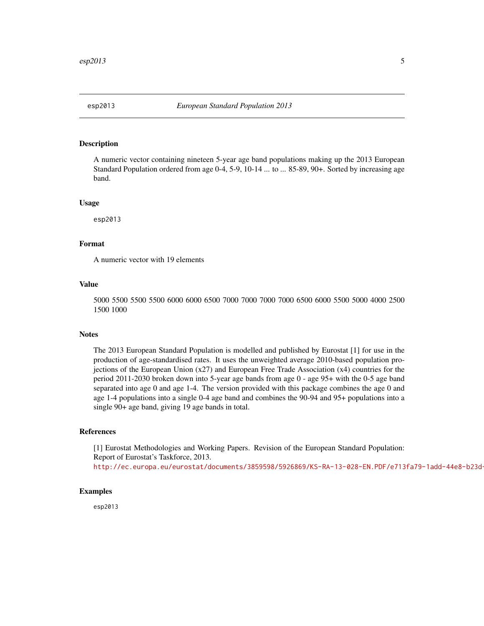<span id="page-4-0"></span>

## **Description**

A numeric vector containing nineteen 5-year age band populations making up the 2013 European Standard Population ordered from age 0-4, 5-9, 10-14 ... to ... 85-89, 90+. Sorted by increasing age band.

#### Usage

esp2013

## Format

A numeric vector with 19 elements

## Value

5000 5500 5500 5500 6000 6000 6500 7000 7000 7000 7000 6500 6000 5500 5000 4000 2500 1500 1000

## **Notes**

The 2013 European Standard Population is modelled and published by Eurostat [1] for use in the production of age-standardised rates. It uses the unweighted average 2010-based population projections of the European Union (x27) and European Free Trade Association (x4) countries for the period 2011-2030 broken down into 5-year age bands from age 0 - age 95+ with the 0-5 age band separated into age 0 and age 1-4. The version provided with this package combines the age 0 and age 1-4 populations into a single 0-4 age band and combines the 90-94 and 95+ populations into a single 90+ age band, giving 19 age bands in total.

#### References

[1] Eurostat Methodologies and Working Papers. Revision of the European Standard Population: Report of Eurostat's Taskforce, 2013. http://ec.europa.eu/eurostat/documents/3859598/5926869/KS-RA-13-028-EN.PDF/e713fa79-1add-44e8-b23d-

#### Examples

esp2013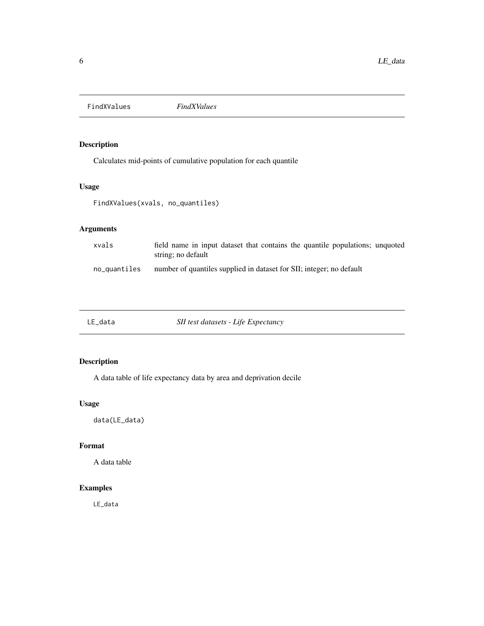<span id="page-5-0"></span>FindXValues *FindXValues*

## Description

Calculates mid-points of cumulative population for each quantile

## Usage

FindXValues(xvals, no\_quantiles)

## Arguments

| xvals        | field name in input dataset that contains the quantile populations; unquoted<br>string; no default |
|--------------|----------------------------------------------------------------------------------------------------|
| no_quantiles | number of quantiles supplied in dataset for SII; integer; no default                               |

LE\_data *SII test datasets - Life Expectancy*

## Description

A data table of life expectancy data by area and deprivation decile

## Usage

data(LE\_data)

## Format

A data table

## Examples

LE\_data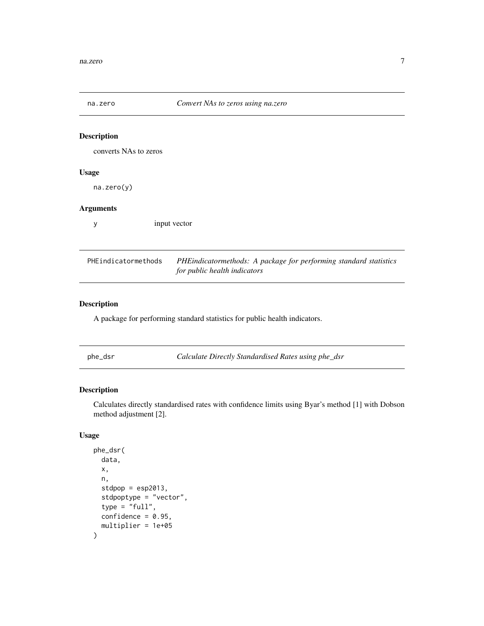<span id="page-6-0"></span>

| na.zero               | Convert NAs to zeros using na.zero                                                                |
|-----------------------|---------------------------------------------------------------------------------------------------|
|                       |                                                                                                   |
| <b>Description</b>    |                                                                                                   |
| converts NAs to zeros |                                                                                                   |
| <b>Usage</b>          |                                                                                                   |
| na. zero(y)           |                                                                                                   |
| <b>Arguments</b>      |                                                                                                   |
| y                     | input vector                                                                                      |
|                       |                                                                                                   |
| PHEindicatormethods   | PHEindicatormethods: A package for performing standard statistics<br>for public health indicators |
|                       |                                                                                                   |

## Description

A package for performing standard statistics for public health indicators.

<span id="page-6-1"></span>phe\_dsr *Calculate Directly Standardised Rates using phe\_dsr*

## Description

Calculates directly standardised rates with confidence limits using Byar's method [1] with Dobson method adjustment [2].

```
phe_dsr(
  data,
  x,
  n,
  stdpop = esp2013,
  stdpoptype = "vector",
  type = "full",confidence = 0.95,
  multiplier = 1e+05
\mathcal{E}
```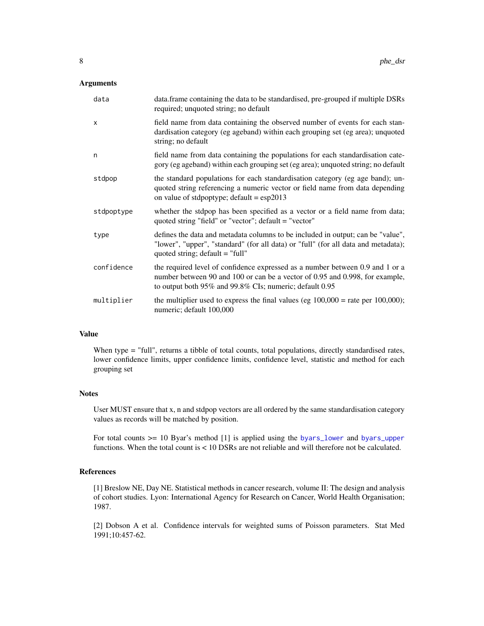#### <span id="page-7-0"></span>Arguments

| data       | data. frame containing the data to be standardised, pre-grouped if multiple DSRs<br>required; unquoted string; no default                                                                                                |
|------------|--------------------------------------------------------------------------------------------------------------------------------------------------------------------------------------------------------------------------|
| X          | field name from data containing the observed number of events for each stan-<br>dardisation category (eg ageband) within each grouping set (eg area); unquoted<br>string; no default                                     |
| n          | field name from data containing the populations for each standardisation cate-<br>gory (eg ageband) within each grouping set (eg area); unquoted string; no default                                                      |
| stdpop     | the standard populations for each standardisation category (eg age band); un-<br>quoted string referencing a numeric vector or field name from data depending<br>on value of stdpoptype; default = $\exp(2013)$          |
| stdpoptype | whether the stdpop has been specified as a vector or a field name from data;<br>quoted string "field" or "vector"; default = "vector"                                                                                    |
| type       | defines the data and metadata columns to be included in output; can be "value",<br>"lower", "upper", "standard" (for all data) or "full" (for all data and metadata);<br>quoted string; $default = "full"$               |
| confidence | the required level of confidence expressed as a number between 0.9 and 1 or a<br>number between 90 and 100 or can be a vector of 0.95 and 0.998, for example,<br>to output both 95% and 99.8% CIs; numeric; default 0.95 |
| multiplier | the multiplier used to express the final values (eg $100,000 =$ rate per $100,000$ );<br>numeric; default 100,000                                                                                                        |

## Value

When type = "full", returns a tibble of total counts, total populations, directly standardised rates, lower confidence limits, upper confidence limits, confidence level, statistic and method for each grouping set

#### **Notes**

User MUST ensure that x, n and stdpop vectors are all ordered by the same standardisation category values as records will be matched by position.

For total counts >= 10 Byar's method [1] is applied using the [byars\\_lower](#page-1-1) and [byars\\_upper](#page-2-1) functions. When the total count is < 10 DSRs are not reliable and will therefore not be calculated.

## References

[1] Breslow NE, Day NE. Statistical methods in cancer research, volume II: The design and analysis of cohort studies. Lyon: International Agency for Research on Cancer, World Health Organisation; 1987.

[2] Dobson A et al. Confidence intervals for weighted sums of Poisson parameters. Stat Med 1991;10:457-62.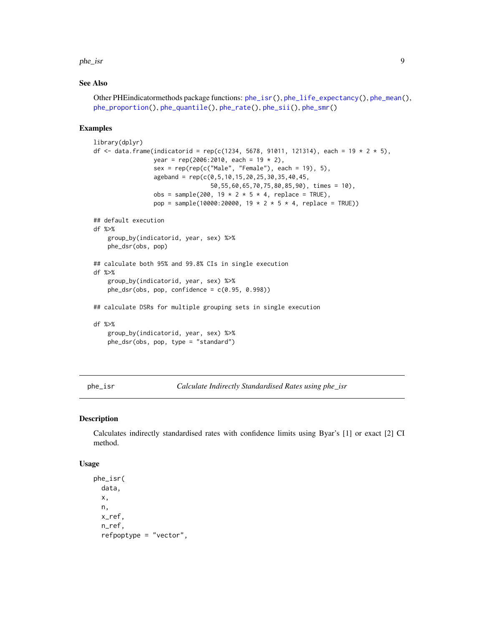<span id="page-8-0"></span>phe\_isr 9

#### See Also

```
Other PHEindicatormethods package functions: phe_isr(), phe_life_expectancy(), phe_mean(),
phe_proportion(), phe_quantile(), phe_rate(), phe_sii(), phe_smr()
```
#### Examples

```
library(dplyr)
df <- data.frame(indicatorid = rep(c(1234, 5678, 91011, 121314), each = 19 * 2 * 5),
                 year = rep(2006:2010, each = 19 * 2),
                 sex = rep(rep(c("Male", "Female"), each = 19), 5),ageband = rep(c(0, 5, 10, 15, 20, 25, 30, 35, 40, 45,50,55,60,65,70,75,80,85,90), times = 10),
                 obs = sample(200, 19 * 2 * 5 * 4, replace = TRUE),pop = sample(10000:20000, 19 * 2 * 5 * 4, replace = TRUE))
## default execution
df %>%
    group_by(indicatorid, year, sex) %>%
   phe_dsr(obs, pop)
## calculate both 95% and 99.8% CIs in single execution
df %>%
    group_by(indicatorid, year, sex) %>%
   phe_dsr(obs, pop, confidence = c(0.95, 0.998))
## calculate DSRs for multiple grouping sets in single execution
df %>%
    group_by(indicatorid, year, sex) %>%
   phe_dsr(obs, pop, type = "standard")
```
<span id="page-8-1"></span>phe\_isr *Calculate Indirectly Standardised Rates using phe\_isr*

#### Description

Calculates indirectly standardised rates with confidence limits using Byar's [1] or exact [2] CI method.

```
phe_isr(
  data,
  x,
 n,
  x_ref,
  n_ref,
  refpoptype = "vector",
```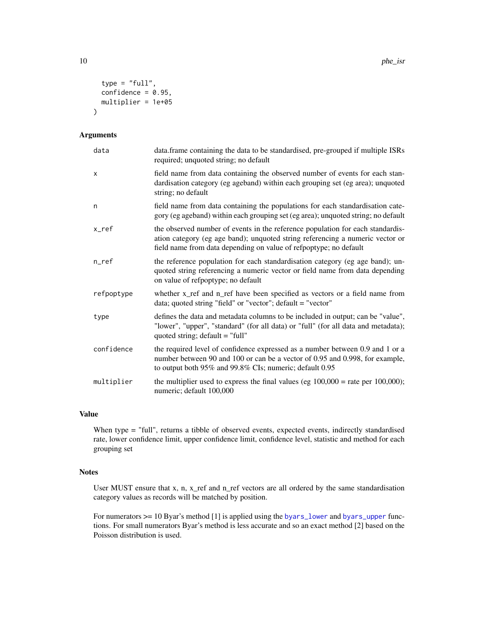```
type = "full",confidence = 0.95,
 multiplier = 1e+05
)
```
## Arguments

| data       | data.frame containing the data to be standardised, pre-grouped if multiple ISRs<br>required; unquoted string; no default                                                                                                             |
|------------|--------------------------------------------------------------------------------------------------------------------------------------------------------------------------------------------------------------------------------------|
| X          | field name from data containing the observed number of events for each stan-<br>dardisation category (eg ageband) within each grouping set (eg area); unquoted<br>string; no default                                                 |
| n          | field name from data containing the populations for each standardisation cate-<br>gory (eg ageband) within each grouping set (eg area); unquoted string; no default                                                                  |
| x_ref      | the observed number of events in the reference population for each standardis-<br>ation category (eg age band); unquoted string referencing a numeric vector or<br>field name from data depending on value of refpoptype; no default |
| $n$ _ref   | the reference population for each standardisation category (eg age band); un-<br>quoted string referencing a numeric vector or field name from data depending<br>on value of refpoptype; no default                                  |
| refpoptype | whether x_ref and n_ref have been specified as vectors or a field name from<br>data; quoted string "field" or "vector"; default = "vector"                                                                                           |
| type       | defines the data and metadata columns to be included in output; can be "value",<br>"lower", "upper", "standard" (for all data) or "full" (for all data and metadata);<br>quoted string; $default = "full"$                           |
| confidence | the required level of confidence expressed as a number between 0.9 and 1 or a<br>number between 90 and 100 or can be a vector of 0.95 and 0.998, for example,<br>to output both 95% and 99.8% CIs; numeric; default 0.95             |
| multiplier | the multiplier used to express the final values (eg $100,000 =$ rate per $100,000$ );<br>numeric; default 100,000                                                                                                                    |

## Value

When type = "full", returns a tibble of observed events, expected events, indirectly standardised rate, lower confidence limit, upper confidence limit, confidence level, statistic and method for each grouping set

## **Notes**

User MUST ensure that x, n,  $x$ <sub>ref</sub> and  $n$ <sub>ref</sub> vectors are all ordered by the same standardisation category values as records will be matched by position.

For numerators >= 10 Byar's method [1] is applied using the [byars\\_lower](#page-1-1) and [byars\\_upper](#page-2-1) functions. For small numerators Byar's method is less accurate and so an exact method [2] based on the Poisson distribution is used.

<span id="page-9-0"></span>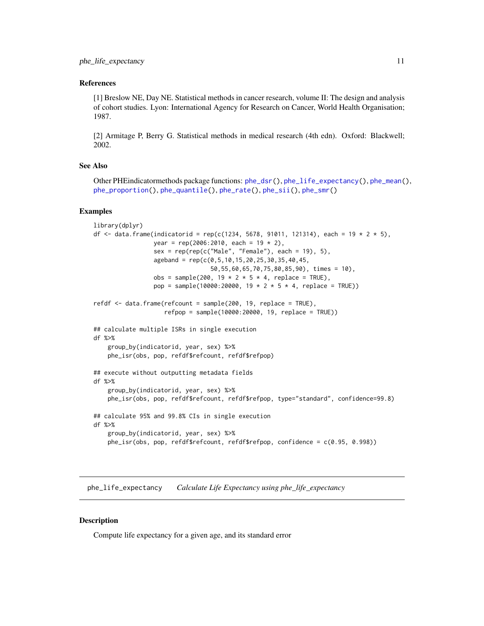#### <span id="page-10-0"></span>References

[1] Breslow NE, Day NE. Statistical methods in cancer research, volume II: The design and analysis of cohort studies. Lyon: International Agency for Research on Cancer, World Health Organisation; 1987.

[2] Armitage P, Berry G. Statistical methods in medical research (4th edn). Oxford: Blackwell; 2002.

## See Also

```
Other PHEindicatormethods package functions: phe_dsr(), phe_life_expectancy(), phe_mean(),
phe_proportion(), phe_quantile(), phe_rate(), phe_sii(), phe_smr()
```
#### Examples

```
library(dplyr)
df <- data.frame(indicatorid = rep(c(1234, 5678, 91011, 121314), each = 19 * 2 * 5),
                 year = rep(2006:2010, each = 19 * 2),
                 sex = rep(rep(c("Male", "Female"), each = 19), 5),ageband = rep(c(0, 5, 10, 15, 20, 25, 30, 35, 40, 45,50,55,60,65,70,75,80,85,90), times = 10),
                 obs = sample(200, 19 * 2 * 5 * 4, replace = TRUE),
                 pop = sample(10000:20000, 19 * 2 * 5 * 4, replace = TRUE))refdf <- data.frame(refcount = sample(200, 19, replace = TRUE),
                    refpop = sample(10000:20000, 19, replace = TRUE))
## calculate multiple ISRs in single execution
df %>%
    group_by(indicatorid, year, sex) %>%
   phe_isr(obs, pop, refdf$refcount, refdf$refpop)
## execute without outputting metadata fields
df %>%
   group_by(indicatorid, year, sex) %>%
   phe_isr(obs, pop, refdf$refcount, refdf$refpop, type="standard", confidence=99.8)
## calculate 95% and 99.8% CIs in single execution
df %>%
    group_by(indicatorid, year, sex) %>%
   phe_isr(obs, pop, refdf$refcount, refdf$refpop, confidence = c(0.95, 0.998))
```
<span id="page-10-1"></span>phe\_life\_expectancy *Calculate Life Expectancy using phe\_life\_expectancy*

#### **Description**

Compute life expectancy for a given age, and its standard error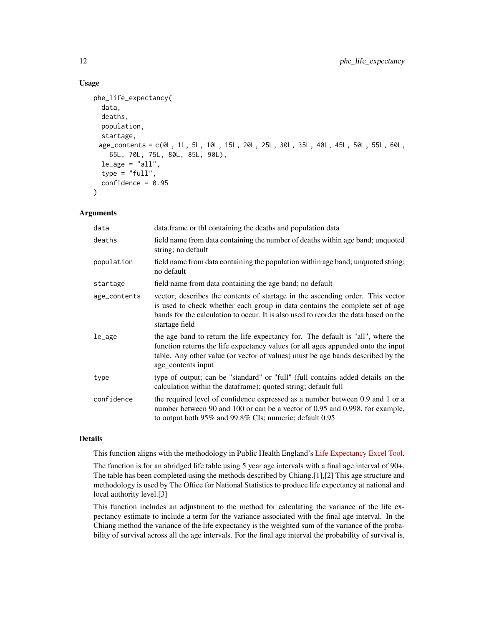## Usage

```
phe_life_expectancy(
  data,
  deaths,
  population,
  startage,
 age_contents = c(0L, 1L, 5L, 10L, 15L, 20L, 25L, 30L, 35L, 40L, 45L, 50L, 55L, 60L,
    65L, 70L, 75L, 80L, 85L, 90L),
  le\_age = "all",type = "full",confidence = 0.95)
```
## Arguments

| data         | data.frame or tbl containing the deaths and population data                                                                                                                                                                                                                  |
|--------------|------------------------------------------------------------------------------------------------------------------------------------------------------------------------------------------------------------------------------------------------------------------------------|
| deaths       | field name from data containing the number of deaths within age band; unquoted<br>string; no default                                                                                                                                                                         |
| population   | field name from data containing the population within age band; unquoted string;<br>no default                                                                                                                                                                               |
| startage     | field name from data containing the age band; no default                                                                                                                                                                                                                     |
| age_contents | vector; describes the contents of startage in the ascending order. This vector<br>is used to check whether each group in data contains the complete set of age<br>bands for the calculation to occur. It is also used to reorder the data based on the<br>startage field     |
| le_age       | the age band to return the life expectancy for. The default is "all", where the<br>function returns the life expectancy values for all ages appended onto the input<br>table. Any other value (or vector of values) must be age bands described by the<br>age_contents input |
| type         | type of output; can be "standard" or "full" (full contains added details on the<br>calculation within the dataframe); quoted string; default full                                                                                                                            |
| confidence   | the required level of confidence expressed as a number between 0.9 and 1 or a<br>number between 90 and 100 or can be a vector of 0.95 and 0.998, for example,<br>to output both $95\%$ and $99.8\%$ CIs; numeric; default 0.95                                               |

## Details

This function aligns with the methodology in Public Health England's [Life Expectancy Excel Tool.](https://fingertips.phe.org.uk/documents/PHE%20Life%20Expectancy%20Calculator.xlsm)

The function is for an abridged life table using 5 year age intervals with a final age interval of 90+. The table has been completed using the methods described by Chiang.[1],[2] This age structure and methodology is used by The Office for National Statistics to produce life expectancy at national and local authority level.[3]

This function includes an adjustment to the method for calculating the variance of the life expectancy estimate to include a term for the variance associated with the final age interval. In the Chiang method the variance of the life expectancy is the weighted sum of the variance of the probability of survival across all the age intervals. For the final age interval the probability of survival is,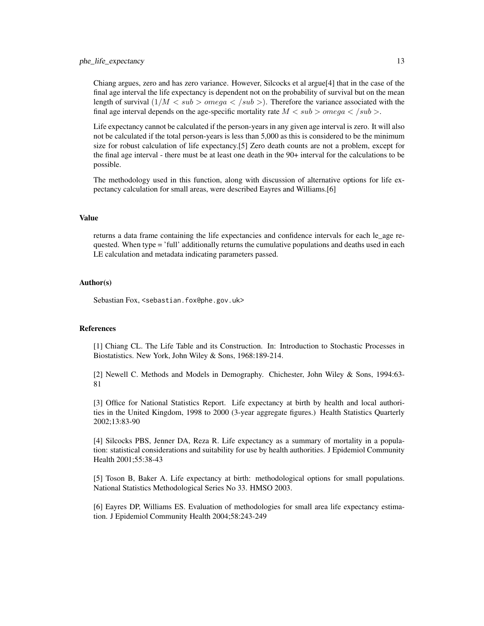Chiang argues, zero and has zero variance. However, Silcocks et al argue[4] that in the case of the final age interval the life expectancy is dependent not on the probability of survival but on the mean length of survival  $(1/M < sub >omega < /sub > 0)$ . Therefore the variance associated with the final age interval depends on the age-specific mortality rate  $M < sub >omega < /sub>0$ .

Life expectancy cannot be calculated if the person-years in any given age interval is zero. It will also not be calculated if the total person-years is less than 5,000 as this is considered to be the minimum size for robust calculation of life expectancy.[5] Zero death counts are not a problem, except for the final age interval - there must be at least one death in the 90+ interval for the calculations to be possible.

The methodology used in this function, along with discussion of alternative options for life expectancy calculation for small areas, were described Eayres and Williams.[6]

## Value

returns a data frame containing the life expectancies and confidence intervals for each le\_age requested. When type = 'full' additionally returns the cumulative populations and deaths used in each LE calculation and metadata indicating parameters passed.

## Author(s)

Sebastian Fox, <sebastian.fox@phe.gov.uk>

#### References

[1] Chiang CL. The Life Table and its Construction. In: Introduction to Stochastic Processes in Biostatistics. New York, John Wiley & Sons, 1968:189-214.

[2] Newell C. Methods and Models in Demography. Chichester, John Wiley & Sons, 1994:63- 81

[3] Office for National Statistics Report. Life expectancy at birth by health and local authorities in the United Kingdom, 1998 to 2000 (3-year aggregate figures.) Health Statistics Quarterly 2002;13:83-90

[4] Silcocks PBS, Jenner DA, Reza R. Life expectancy as a summary of mortality in a population: statistical considerations and suitability for use by health authorities. J Epidemiol Community Health 2001;55:38-43

[5] Toson B, Baker A. Life expectancy at birth: methodological options for small populations. National Statistics Methodological Series No 33. HMSO 2003.

[6] Eayres DP, Williams ES. Evaluation of methodologies for small area life expectancy estimation. J Epidemiol Community Health 2004;58:243-249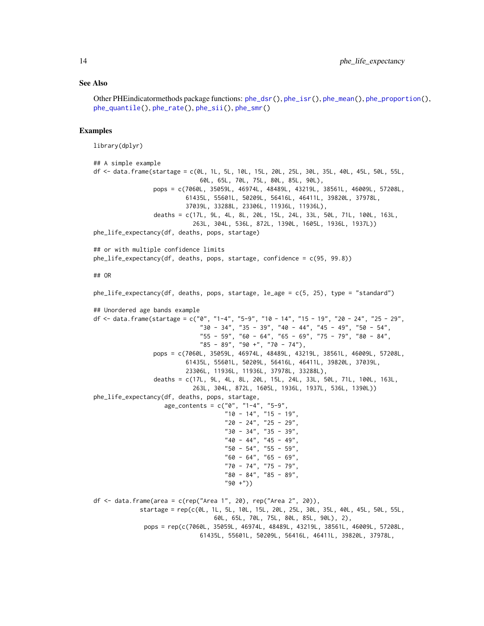#### See Also

```
Other PHEindicatormethods package functions: phe_dsr(), phe_isr(), phe_mean(), phe_proportion(),
phe_quantile(), phe_rate(), phe_sii(), phe_smr()
```
#### Examples

```
library(dplyr)
## A simple example
df <- data.frame(startage = c(0L, 1L, 5L, 10L, 15L, 20L, 25L, 30L, 35L, 40L, 45L, 50L, 55L,
                              60L, 65L, 70L, 75L, 80L, 85L, 90L),
                 pops = c(7060L, 35059L, 46974L, 48489L, 43219L, 38561L, 46009L, 57208L,
                          61435L, 55601L, 50209L, 56416L, 46411L, 39820L, 37978L,
                          37039L, 33288L, 23306L, 11936L, 11936L),
                 deaths = c(17L, 9L, 4L, 8L, 20L, 15L, 24L, 33L, 50L, 71L, 100L, 163L,
                            263L, 304L, 536L, 872L, 1390L, 1605L, 1936L, 1937L))
phe_life_expectancy(df, deaths, pops, startage)
## or with multiple confidence limits
phe_life_expectancy(df, deaths, pops, startage, confidence = c(95, 99.8))
## OR
phe_life_expectancy(df, deaths, pops, startage, le_age = c(5, 25), type = "standard")
## Unordered age bands example
df \le data.frame(startage = c("0", "1-4", "5-9", "10 - 14", "15 - 19", "20 - 24", "25 - 29",
                              "30 - 34", "35 - 39", "40 - 44", "45 - 49", "50 - 54","55 - 59", "60 - 64", "65 - 69", "75 - 79", "80 - 84","85 - 89", "90 +", "70 - 74"),
                 pops = c(7060L, 35059L, 46974L, 48489L, 43219L, 38561L, 46009L, 57208L,
                          61435L, 55601L, 50209L, 56416L, 46411L, 39820L, 37039L,
                          23306L, 11936L, 11936L, 37978L, 33288L),
                 deaths = c(17L, 9L, 4L, 8L, 20L, 15L, 24L, 33L, 50L, 71L, 100L, 163L,
                            263L, 304L, 872L, 1605L, 1936L, 1937L, 536L, 1390L))
phe_life_expectancy(df, deaths, pops, startage,
                    age_{\text{contents}} = c("0", "1-4", "5-9""10 - 14", "15 - 19",
                                      "20 - 24", "25 - 29",
                                     "30 - 34", "35 - 39",
                                     "40 - 44", "45 - 49""50 - 54", "55 - 59",
                                     "60 - 64", "65 - 69",
                                     "70 - 74", "75 - 79",
                                      "80 - 84", "85 - 89",
                                      "90 +"))
df <- data.frame(area = c(rep("Area 1", 20), rep("Area 2", 20)),
             startage = rep(c(0L, 1L, 5L, 10L, 15L, 20L, 25L, 30L, 35L, 40L, 45L, 50L, 55L,
                                   60L, 65L, 70L, 75L, 80L, 85L, 90L), 2),
              pops = rep(c(7060L, 35059L, 46974L, 48489L, 43219L, 38561L, 46009L, 57208L,
                              61435L, 55601L, 50209L, 56416L, 46411L, 39820L, 37978L,
```
<span id="page-13-0"></span>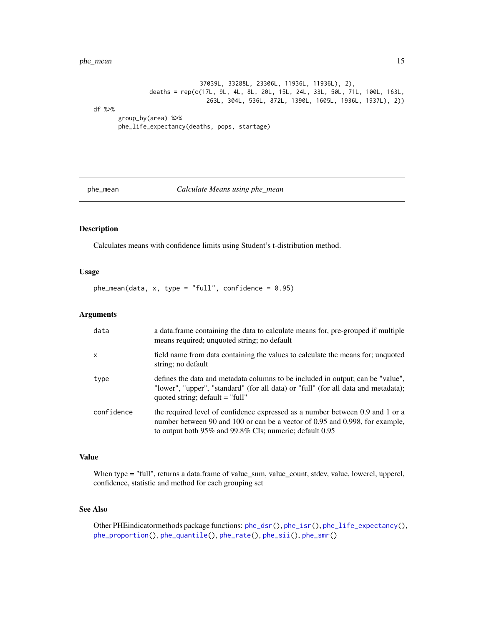## <span id="page-14-0"></span>phe\_mean 15

37039L, 33288L, 23306L, 11936L, 11936L), 2), deaths = rep(c(17L, 9L, 4L, 8L, 20L, 15L, 24L, 33L, 50L, 71L, 100L, 163L, 263L, 304L, 536L, 872L, 1390L, 1605L, 1936L, 1937L), 2)) df %>% group\_by(area) %>% phe\_life\_expectancy(deaths, pops, startage)

<span id="page-14-1"></span>phe\_mean *Calculate Means using phe\_mean*

#### Description

Calculates means with confidence limits using Student's t-distribution method.

## Usage

 $phe_mean(data, x, type = "full", confidence = 0.95)$ 

#### Arguments

| data       | a data frame containing the data to calculate means for, pre-grouped if multiple<br>means required; unquoted string; no default                                                                                          |
|------------|--------------------------------------------------------------------------------------------------------------------------------------------------------------------------------------------------------------------------|
| X          | field name from data containing the values to calculate the means for; unquoted<br>string; no default                                                                                                                    |
| type       | defines the data and metadata columns to be included in output; can be "value",<br>"lower", "upper", "standard" (for all data) or "full" (for all data and metadata);<br>quoted string; $default = "full"$               |
| confidence | the required level of confidence expressed as a number between 0.9 and 1 or a<br>number between 90 and 100 or can be a vector of 0.95 and 0.998, for example,<br>to output both 95% and 99.8% CIs; numeric; default 0.95 |

#### Value

When type = "full", returns a data.frame of value\_sum, value\_count, stdev, value, lowercl, uppercl, confidence, statistic and method for each grouping set

#### See Also

Other PHEindicatormethods package functions: [phe\\_dsr\(](#page-6-1)), [phe\\_isr\(](#page-8-1)), [phe\\_life\\_expectancy\(](#page-10-1)), [phe\\_proportion\(](#page-15-1)), [phe\\_quantile\(](#page-16-1)), [phe\\_rate\(](#page-18-1)), [phe\\_sii\(](#page-19-1)), [phe\\_smr\(](#page-23-1))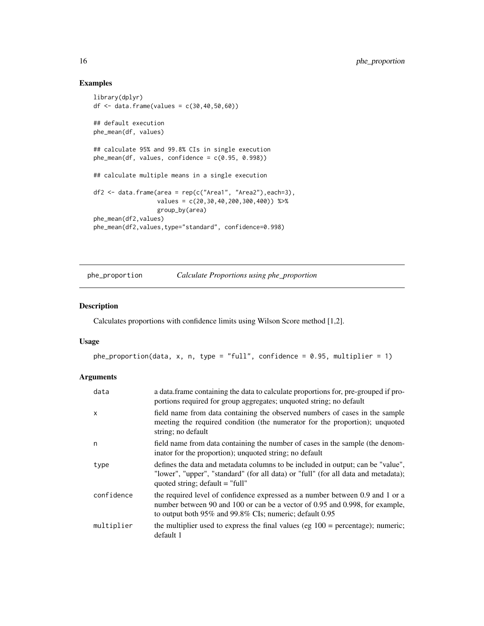## Examples

```
library(dplyr)
df \leq data.frame(values = c(30, 40, 50, 60))
## default execution
phe_mean(df, values)
## calculate 95% and 99.8% CIs in single execution
phe_mean(df, values, confidence = c(0.95, 0.998))
## calculate multiple means in a single execution
df2 <- data.frame(area = rep(c("Area1", "Area2"),each=3),
                  values = c(20, 30, 40, 200, 300, 400)) %>%
                  group_by(area)
phe_mean(df2,values)
phe_mean(df2,values,type="standard", confidence=0.998)
```
<span id="page-15-1"></span>

phe\_proportion *Calculate Proportions using phe\_proportion*

#### Description

Calculates proportions with confidence limits using Wilson Score method [1,2].

#### Usage

```
phe_proportion(data, x, n, type = "full", confidence = 0.95, multiplier = 1)
```
## Arguments

| data       | a data.frame containing the data to calculate proportions for, pre-grouped if pro-<br>portions required for group aggregates; unquoted string; no default                                                                |
|------------|--------------------------------------------------------------------------------------------------------------------------------------------------------------------------------------------------------------------------|
| X          | field name from data containing the observed numbers of cases in the sample<br>meeting the required condition (the numerator for the proportion); unquoted<br>string; no default                                         |
| n          | field name from data containing the number of cases in the sample (the denom-<br>inator for the proportion); unquoted string; no default                                                                                 |
| type       | defines the data and metadata columns to be included in output; can be "value",<br>"lower", "upper", "standard" (for all data) or "full" (for all data and metadata);<br>quoted string; $default = "full"$               |
| confidence | the required level of confidence expressed as a number between 0.9 and 1 or a<br>number between 90 and 100 or can be a vector of 0.95 and 0.998, for example,<br>to output both 95% and 99.8% CIs; numeric; default 0.95 |
| multiplier | the multiplier used to express the final values (eg $100 =$ percentage); numeric;<br>default 1                                                                                                                           |

<span id="page-15-0"></span>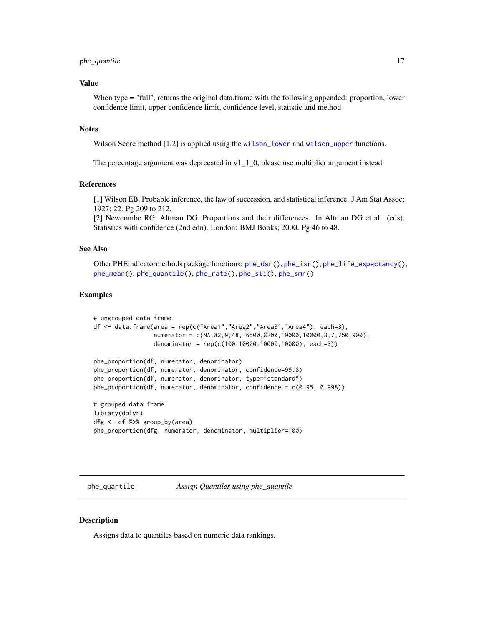#### <span id="page-16-0"></span>phe\_quantile 17

## Value

When type = "full", returns the original data.frame with the following appended: proportion, lower confidence limit, upper confidence limit, confidence level, statistic and method

#### **Notes**

Wilson Score method [1,2] is applied using the [wilson\\_lower](#page-27-1) and [wilson\\_upper](#page-28-1) functions.

The percentage argument was deprecated in  $v1_11_0$ , please use multiplier argument instead

#### References

[1] Wilson EB. Probable inference, the law of succession, and statistical inference. J Am Stat Assoc; 1927; 22. Pg 209 to 212.

[2] Newcombe RG, Altman DG. Proportions and their differences. In Altman DG et al. (eds). Statistics with confidence (2nd edn). London: BMJ Books; 2000. Pg 46 to 48.

## See Also

Other PHEindicatormethods package functions: [phe\\_dsr\(](#page-6-1)), [phe\\_isr\(](#page-8-1)), [phe\\_life\\_expectancy\(](#page-10-1)), [phe\\_mean\(](#page-14-1)), [phe\\_quantile\(](#page-16-1)), [phe\\_rate\(](#page-18-1)), [phe\\_sii\(](#page-19-1)), [phe\\_smr\(](#page-23-1))

#### Examples

```
# ungrouped data frame
df <- data.frame(area = rep(c("Area1","Area2","Area3","Area4"), each=3),
                numerator = c(NA,82,9,48, 6500,8200,10000,10000,8,7,750,900),
                denominator = rep(c(100,10000,10000,10000), each=3))
```

```
phe_proportion(df, numerator, denominator)
phe_proportion(df, numerator, denominator, confidence=99.8)
phe_proportion(df, numerator, denominator, type="standard")
phe_proportion(df, numerator, denominator, confidence = c(0.95, 0.998))
```
# grouped data frame library(dplyr) dfg <- df %>% group\_by(area) phe\_proportion(dfg, numerator, denominator, multiplier=100)

<span id="page-16-1"></span>phe\_quantile *Assign Quantiles using phe\_quantile*

## **Description**

Assigns data to quantiles based on numeric data rankings.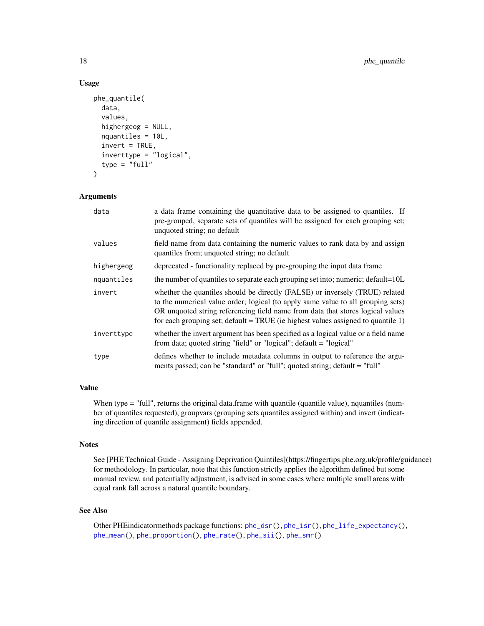## Usage

```
phe_quantile(
  data,
  values,
  highergeog = NULL,
  nquantiles = 10L,
  invert = TRUE,inverttype = "logical",
  type = "full")
```
## Arguments

| data       | a data frame containing the quantitative data to be assigned to quantiles. If<br>pre-grouped, separate sets of quantiles will be assigned for each grouping set;<br>unquoted string; no default                                                                                                                                        |
|------------|----------------------------------------------------------------------------------------------------------------------------------------------------------------------------------------------------------------------------------------------------------------------------------------------------------------------------------------|
| values     | field name from data containing the numeric values to rank data by and assign<br>quantiles from; unquoted string; no default                                                                                                                                                                                                           |
| highergeog | deprecated - functionality replaced by pre-grouping the input data frame                                                                                                                                                                                                                                                               |
| nquantiles | the number of quantiles to separate each grouping set into; numeric; default=10L                                                                                                                                                                                                                                                       |
| invert     | whether the quantiles should be directly (FALSE) or inversely (TRUE) related<br>to the numerical value order; logical (to apply same value to all grouping sets)<br>OR unquoted string referencing field name from data that stores logical values<br>for each grouping set; default = TRUE (ie highest values assigned to quantile 1) |
| inverttype | whether the invert argument has been specified as a logical value or a field name<br>from data; quoted string "field" or "logical"; default = "logical"                                                                                                                                                                                |
| type       | defines whether to include metadata columns in output to reference the argu-<br>ments passed; can be "standard" or "full"; quoted string; default = "full"                                                                                                                                                                             |

## Value

When type = "full", returns the original data.frame with quantile (quantile value), nquantiles (number of quantiles requested), groupvars (grouping sets quantiles assigned within) and invert (indicating direction of quantile assignment) fields appended.

#### **Notes**

See [PHE Technical Guide - Assigning Deprivation Quintiles](https://fingertips.phe.org.uk/profile/guidance) for methodology. In particular, note that this function strictly applies the algorithm defined but some manual review, and potentially adjustment, is advised in some cases where multiple small areas with equal rank fall across a natural quantile boundary.

## See Also

Other PHEindicatormethods package functions: [phe\\_dsr\(](#page-6-1)), [phe\\_isr\(](#page-8-1)), [phe\\_life\\_expectancy\(](#page-10-1)), [phe\\_mean\(](#page-14-1)), [phe\\_proportion\(](#page-15-1)), [phe\\_rate\(](#page-18-1)), [phe\\_sii\(](#page-19-1)), [phe\\_smr\(](#page-23-1))

<span id="page-17-0"></span>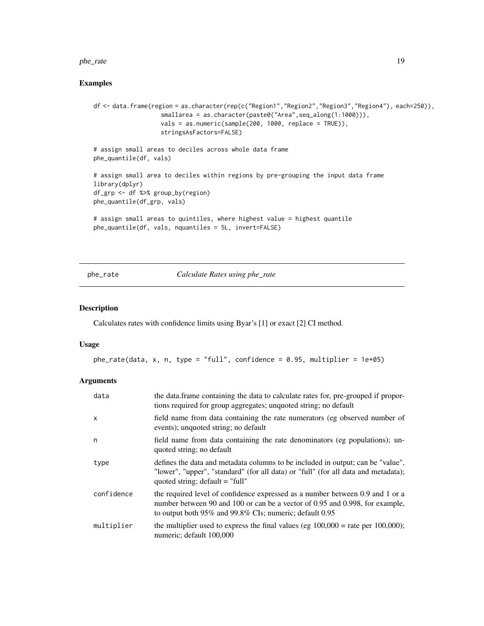#### <span id="page-18-0"></span>phe\_rate 19

## Examples

```
df <- data.frame(region = as.character(rep(c("Region1","Region2","Region3","Region4"), each=250)),
                   smallarea = as.character(paste0("Area",seq_along(1:1000))),
                   vals = as.numeric(sample(200, 1000, replace = TRUE)),
                   stringsAsFactors=FALSE)
# assign small areas to deciles across whole data frame
phe_quantile(df, vals)
# assign small area to deciles within regions by pre-grouping the input data frame
library(dplyr)
df_grp <- df %>% group_by(region)
phe_quantile(df_grp, vals)
# assign small areas to quintiles, where highest value = highest quantile
phe_quantile(df, vals, nquantiles = 5L, invert=FALSE)
```
<span id="page-18-1"></span>phe\_rate *Calculate Rates using phe\_rate*

## Description

Calculates rates with confidence limits using Byar's [1] or exact [2] CI method.

#### Usage

```
phe_rate(data, x, n, type = "full", confidence = 0.95, multiplier = 1e+05)
```
#### Arguments

| data         | the data.frame containing the data to calculate rates for, pre-grouped if propor-<br>tions required for group aggregates; unquoted string; no default                                                                          |
|--------------|--------------------------------------------------------------------------------------------------------------------------------------------------------------------------------------------------------------------------------|
| $\mathsf{x}$ | field name from data containing the rate numerators (eg observed number of<br>events); unquoted string; no default                                                                                                             |
| n            | field name from data containing the rate denominators (eg populations); un-<br>quoted string; no default                                                                                                                       |
| type         | defines the data and metadata columns to be included in output; can be "value",<br>"lower", "upper", "standard" (for all data) or "full" (for all data and metadata);<br>quoted string; $default = "full"$                     |
| confidence   | the required level of confidence expressed as a number between 0.9 and 1 or a<br>number between 90 and 100 or can be a vector of 0.95 and 0.998, for example,<br>to output both $95\%$ and $99.8\%$ CIs; numeric; default 0.95 |
| multiplier   | the multiplier used to express the final values (eg $100,000 =$ rate per $100,000$ );<br>numeric; default 100,000                                                                                                              |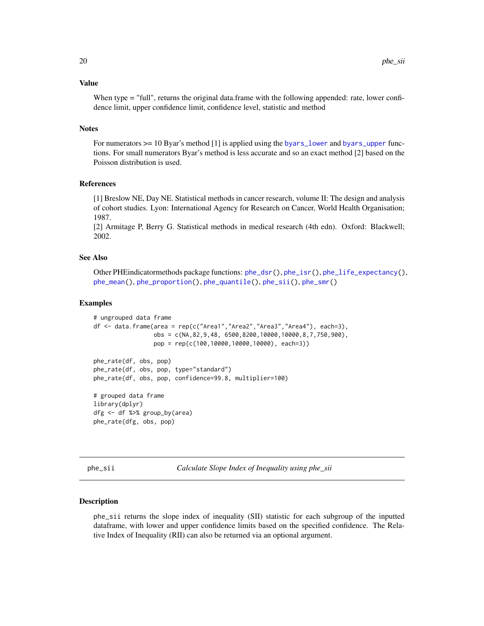#### <span id="page-19-0"></span>Value

When type = "full", returns the original data.frame with the following appended: rate, lower confidence limit, upper confidence limit, confidence level, statistic and method

## **Notes**

For numerators  $\ge$  = 10 Byar's method [1] is applied using the [byars\\_lower](#page-1-1) and [byars\\_upper](#page-2-1) functions. For small numerators Byar's method is less accurate and so an exact method [2] based on the Poisson distribution is used.

#### References

[1] Breslow NE, Day NE. Statistical methods in cancer research, volume II: The design and analysis of cohort studies. Lyon: International Agency for Research on Cancer, World Health Organisation; 1987.

[2] Armitage P, Berry G. Statistical methods in medical research (4th edn). Oxford: Blackwell; 2002.

## See Also

Other PHEindicatormethods package functions: [phe\\_dsr\(](#page-6-1)), [phe\\_isr\(](#page-8-1)), [phe\\_life\\_expectancy\(](#page-10-1)), [phe\\_mean\(](#page-14-1)), [phe\\_proportion\(](#page-15-1)), [phe\\_quantile\(](#page-16-1)), [phe\\_sii\(](#page-19-1)), [phe\\_smr\(](#page-23-1))

#### Examples

```
# ungrouped data frame
df <- data.frame(area = rep(c("Area1","Area2","Area3","Area4"), each=3),
                 obs = c(NA,82,9,48, 6500,8200,10000,10000,8,7,750,900),
                 pop = rep(c(100,10000,10000,10000), each=3))
phe_rate(df, obs, pop)
phe_rate(df, obs, pop, type="standard")
phe_rate(df, obs, pop, confidence=99.8, multiplier=100)
# grouped data frame
library(dplyr)
dfg <- df %>% group_by(area)
phe_rate(dfg, obs, pop)
```
<span id="page-19-1"></span>phe\_sii *Calculate Slope Index of Inequality using phe\_sii*

#### Description

phe\_sii returns the slope index of inequality (SII) statistic for each subgroup of the inputted dataframe, with lower and upper confidence limits based on the specified confidence. The Relative Index of Inequality (RII) can also be returned via an optional argument.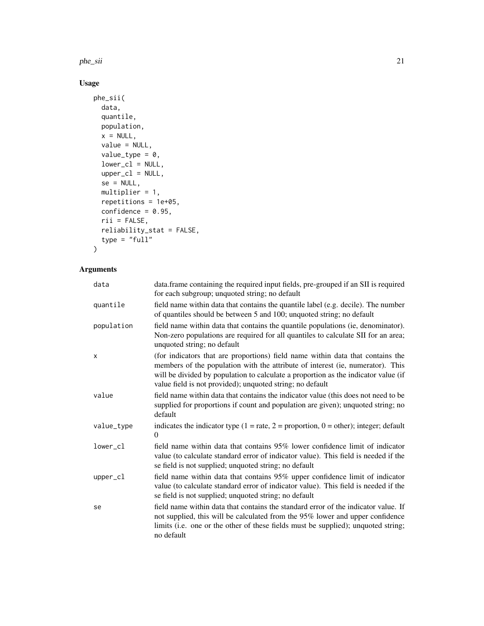phe\_sii 21

## Usage

```
phe_sii(
  data,
  quantile,
  population,
  x = NULL,value = NULL,
  value_type = 0,
  lower_cl = NULL,upper_cl = NULL,se = NULL,multiplier = 1,
  repetitions = 1e+05,
  confidence = 0.95,
  rii = FALSE,
  reliability_stat = FALSE,
  type = "full"\mathcal{L}
```
## Arguments

| data       | data.frame containing the required input fields, pre-grouped if an SII is required<br>for each subgroup; unquoted string; no default                                                                                                                                                                                |
|------------|---------------------------------------------------------------------------------------------------------------------------------------------------------------------------------------------------------------------------------------------------------------------------------------------------------------------|
| quantile   | field name within data that contains the quantile label (e.g. decile). The number<br>of quantiles should be between 5 and 100; unquoted string; no default                                                                                                                                                          |
| population | field name within data that contains the quantile populations (ie, denominator).<br>Non-zero populations are required for all quantiles to calculate SII for an area;<br>unquoted string; no default                                                                                                                |
| X          | (for indicators that are proportions) field name within data that contains the<br>members of the population with the attribute of interest (ie, numerator). This<br>will be divided by population to calculate a proportion as the indicator value (if<br>value field is not provided); unquoted string; no default |
| value      | field name within data that contains the indicator value (this does not need to be<br>supplied for proportions if count and population are given); unquoted string; no<br>default                                                                                                                                   |
| value_type | indicates the indicator type $(1 = rate, 2 = proportion, 0 = other)$ ; integer; default<br>$\Omega$                                                                                                                                                                                                                 |
| lower cl   | field name within data that contains 95% lower confidence limit of indicator<br>value (to calculate standard error of indicator value). This field is needed if the<br>se field is not supplied; unquoted string; no default                                                                                        |
| upper_cl   | field name within data that contains 95% upper confidence limit of indicator<br>value (to calculate standard error of indicator value). This field is needed if the<br>se field is not supplied; unquoted string; no default                                                                                        |
| se         | field name within data that contains the standard error of the indicator value. If<br>not supplied, this will be calculated from the 95% lower and upper confidence<br>limits (i.e. one or the other of these fields must be supplied); unquoted string;<br>no default                                              |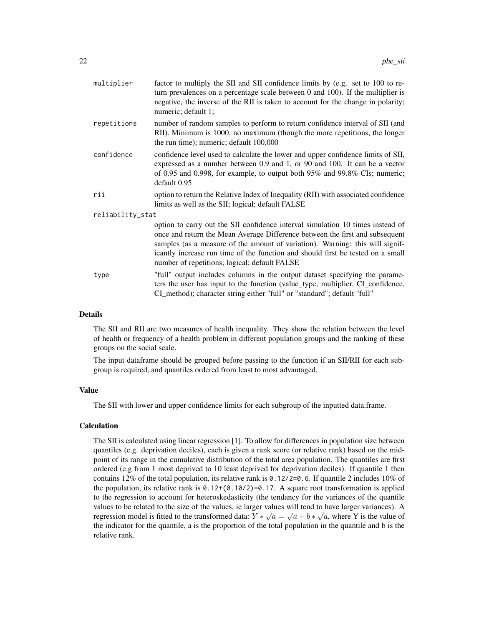| multiplier       | factor to multiply the SII and SII confidence limits by (e.g. set to 100 to re-<br>turn prevalences on a percentage scale between $0$ and $100$ ). If the multiplier is<br>negative, the inverse of the RII is taken to account for the change in polarity;<br>numeric; default 1;                                                                                                  |
|------------------|-------------------------------------------------------------------------------------------------------------------------------------------------------------------------------------------------------------------------------------------------------------------------------------------------------------------------------------------------------------------------------------|
| repetitions      | number of random samples to perform to return confidence interval of SII (and<br>RII). Minimum is 1000, no maximum (though the more repetitions, the longer<br>the run time); numeric; default 100,000                                                                                                                                                                              |
| confidence       | confidence level used to calculate the lower and upper confidence limits of SII,<br>expressed as a number between 0.9 and 1, or 90 and 100. It can be a vector<br>of 0.95 and 0.998, for example, to output both 95% and 99.8% CIs; numeric;<br>default 0.95                                                                                                                        |
| rii              | option to return the Relative Index of Inequality (RII) with associated confidence<br>limits as well as the SII; logical; default FALSE                                                                                                                                                                                                                                             |
| reliability_stat |                                                                                                                                                                                                                                                                                                                                                                                     |
|                  | option to carry out the SII confidence interval simulation 10 times instead of<br>once and return the Mean Average Difference between the first and subsequent<br>samples (as a measure of the amount of variation). Warning: this will signif-<br>icantly increase run time of the function and should first be tested on a small<br>number of repetitions; logical; default FALSE |
| type             | "full" output includes columns in the output dataset specifying the parame-<br>ters the user has input to the function (value_type, multiplier, CI_confidence,<br>CI_method); character string either "full" or "standard"; default "full"                                                                                                                                          |

#### Details

The SII and RII are two measures of health inequality. They show the relation between the level of health or frequency of a health problem in different population groups and the ranking of these groups on the social scale.

The input dataframe should be grouped before passing to the function if an SII/RII for each subgroup is required, and quantiles ordered from least to most advantaged.

## Value

The SII with lower and upper confidence limits for each subgroup of the inputted data.frame.

## Calculation

The SII is calculated using linear regression [1]. To allow for differences in population size between quantiles (e.g. deprivation deciles), each is given a rank score (or relative rank) based on the midpoint of its range in the cumulative distribution of the total area population. The quantiles are first ordered (e.g from 1 most deprived to 10 least deprived for deprivation deciles). If quantile 1 then contains 12% of the total population, its relative rank is  $0.12/2=0.6$ . If quantile 2 includes 10% of the population, its relative rank is  $\theta$ . 12+( $\theta$ . 10/2)=0.17. A square root transformation is applied to the regression to account for heteroskedasticity (the tendancy for the variances of the quantile values to be related to the size of the values, ie larger values will tend to have larger variances). A regression model is fitted to the transformed data:  $Y * \sqrt{a} = \sqrt{a} + b * \sqrt{a}$ , where Y is the value of the indicator for the quantile, a is the proportion of the total population in the quantile and b is the relative rank.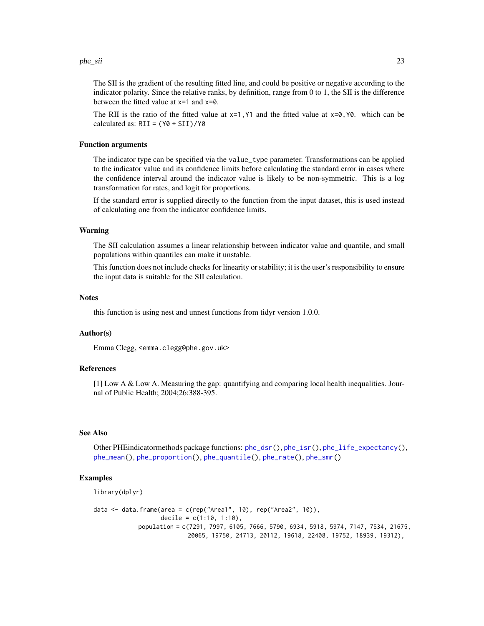#### <span id="page-22-0"></span>phe\_sii 23

The SII is the gradient of the resulting fitted line, and could be positive or negative according to the indicator polarity. Since the relative ranks, by definition, range from 0 to 1, the SII is the difference between the fitted value at x=1 and x=0.

The RII is the ratio of the fitted value at  $x=1$ , Y1 and the fitted value at  $x=0$ , Y0. which can be calculated as:  $RII = (Y0 + SII)/Y0$ 

#### Function arguments

The indicator type can be specified via the value\_type parameter. Transformations can be applied to the indicator value and its confidence limits before calculating the standard error in cases where the confidence interval around the indicator value is likely to be non-symmetric. This is a log transformation for rates, and logit for proportions.

If the standard error is supplied directly to the function from the input dataset, this is used instead of calculating one from the indicator confidence limits.

#### Warning

The SII calculation assumes a linear relationship between indicator value and quantile, and small populations within quantiles can make it unstable.

This function does not include checks for linearity or stability; it is the user's responsibility to ensure the input data is suitable for the SII calculation.

#### **Notes**

this function is using nest and unnest functions from tidyr version 1.0.0.

#### Author(s)

Emma Clegg, <emma.clegg@phe.gov.uk>

#### References

[1] Low A & Low A. Measuring the gap: quantifying and comparing local health inequalities. Journal of Public Health; 2004;26:388-395.

#### See Also

Other PHEindicatormethods package functions: [phe\\_dsr\(](#page-6-1)), [phe\\_isr\(](#page-8-1)), [phe\\_life\\_expectancy\(](#page-10-1)), [phe\\_mean\(](#page-14-1)), [phe\\_proportion\(](#page-15-1)), [phe\\_quantile\(](#page-16-1)), [phe\\_rate\(](#page-18-1)), [phe\\_smr\(](#page-23-1))

#### Examples

```
library(dplyr)
data <- data.frame(area = c(rep("Area1", 10), rep("Area2", 10)),
                   decile = c(1:10, 1:10),
            population = c(7291, 7997, 6105, 7666, 5790, 6934, 5918, 5974, 7147, 7534, 21675,
                           20065, 19750, 24713, 20112, 19618, 22408, 19752, 18939, 19312),
```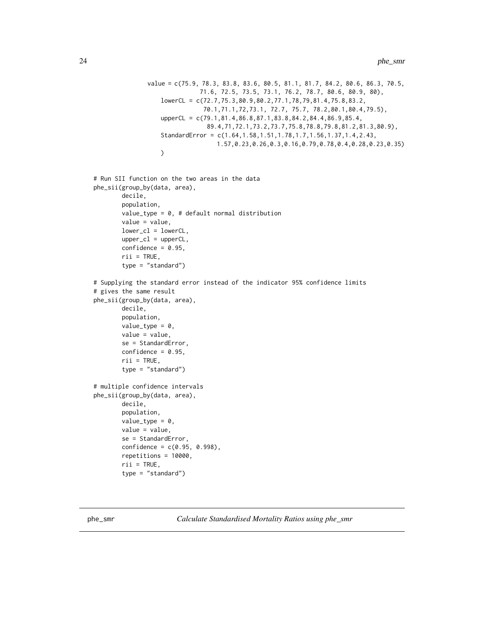```
value = c(75.9, 78.3, 83.8, 83.6, 80.5, 81.1, 81.7, 84.2, 80.6, 86.3, 70.5,
                              71.6, 72.5, 73.5, 73.1, 76.2, 78.7, 80.6, 80.9, 80),
                   lowerCL = c(72.7,75.3,80.9,80.2,77.1,78,79,81.4,75.8,83.2,
                               70.1,71.1,72,73.1, 72.7, 75.7, 78.2,80.1,80.4,79.5),
                   upperCL = c(79.1,81.4,86.8,87.1,83.8,84.2,84.4,86.9,85.4,
                                89.4,71,72.1,73.2,73.7,75.8,78.8,79.8,81.2,81.3,80.9),
                   StandardError = c(1.64,1.58,1.51,1.78,1.7,1.56,1.37,1.4,2.43,
                                   1.57,0.23,0.26,0.3,0.16,0.79,0.78,0.4,0.28,0.23,0.35)
                   )
# Run SII function on the two areas in the data
phe_sii(group_by(data, area),
        decile,
        population,
        value_type = 0, # default normal distribution
        value = value,
        lower_cl = lowerCL,upper_cl = upperCL,
        confidence = 0.95,
        rii = TRUE,
        type = "standard")
# Supplying the standard error instead of the indicator 95% confidence limits
# gives the same result
phe_sii(group_by(data, area),
        decile,
        population,
        value_type = 0,
        value = value,
        se = StandardError,
```

```
# multiple confidence intervals
phe_sii(group_by(data, area),
        decile,
        population,
        value_type = 0,
        value = value,
        se = StandardError,
        confidence = c(0.95, 0.998),
        repetitions = 10000,
        rii = TRUE,
        type = "standard")
```
 $confidence = 0.95$ ,  $\text{rii}$  = TRUE, type = "standard")

<span id="page-23-1"></span>phe\_smr *Calculate Standardised Mortality Ratios using phe\_smr*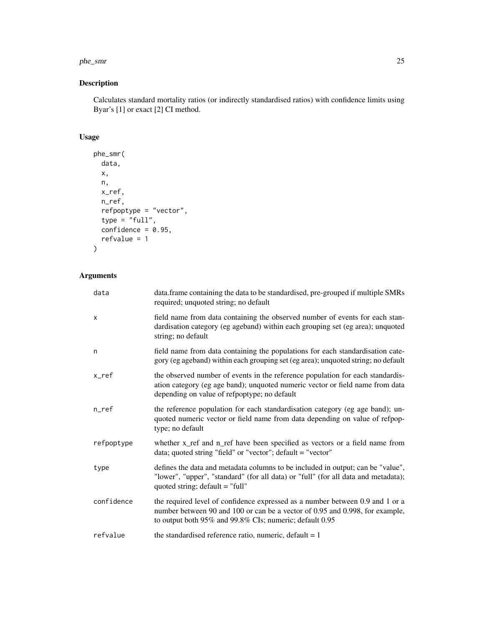#### phe\_smr 25

## Description

Calculates standard mortality ratios (or indirectly standardised ratios) with confidence limits using Byar's [1] or exact [2] CI method.

## Usage

```
phe_smr(
  data,
  x,
  n,
  x_ref,
  n_ref,
  refpoptype = "vector",
  type = "full",confidence = 0.95,
  refvalue = 1
\mathcal{L}
```
## Arguments

| data       | data.frame containing the data to be standardised, pre-grouped if multiple SMRs<br>required; unquoted string; no default                                                                                                 |
|------------|--------------------------------------------------------------------------------------------------------------------------------------------------------------------------------------------------------------------------|
| X          | field name from data containing the observed number of events for each stan-<br>dardisation category (eg ageband) within each grouping set (eg area); unquoted<br>string; no default                                     |
| n          | field name from data containing the populations for each standardisation cate-<br>gory (eg ageband) within each grouping set (eg area); unquoted string; no default                                                      |
| x_ref      | the observed number of events in the reference population for each standardis-<br>ation category (eg age band); unquoted numeric vector or field name from data<br>depending on value of refpoptype; no default          |
| n_ref      | the reference population for each standardisation category (eg age band); un-<br>quoted numeric vector or field name from data depending on value of refpop-<br>type; no default                                         |
| refpoptype | whether x_ref and n_ref have been specified as vectors or a field name from<br>data; quoted string "field" or "vector"; default = "vector"                                                                               |
| type       | defines the data and metadata columns to be included in output; can be "value",<br>"lower", "upper", "standard" (for all data) or "full" (for all data and metadata);<br>quoted string; $default = "full"$               |
| confidence | the required level of confidence expressed as a number between 0.9 and 1 or a<br>number between 90 and 100 or can be a vector of 0.95 and 0.998, for example,<br>to output both 95% and 99.8% CIs; numeric; default 0.95 |
| refvalue   | the standardised reference ratio, numeric, default $= 1$                                                                                                                                                                 |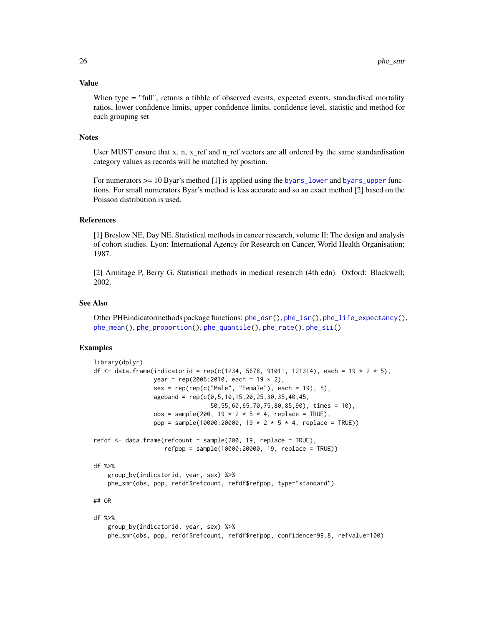#### <span id="page-25-0"></span>Value

When type = "full", returns a tibble of observed events, expected events, standardised mortality ratios, lower confidence limits, upper confidence limits, confidence level, statistic and method for each grouping set

#### Notes

User MUST ensure that x, n, x\_ref and n\_ref vectors are all ordered by the same standardisation category values as records will be matched by position.

For numerators  $\geq$  10 Byar's method [1] is applied using the [byars\\_lower](#page-1-1) and [byars\\_upper](#page-2-1) functions. For small numerators Byar's method is less accurate and so an exact method [2] based on the Poisson distribution is used.

#### References

[1] Breslow NE, Day NE. Statistical methods in cancer research, volume II: The design and analysis of cohort studies. Lyon: International Agency for Research on Cancer, World Health Organisation; 1987.

[2] Armitage P, Berry G. Statistical methods in medical research (4th edn). Oxford: Blackwell; 2002.

#### See Also

Other PHEindicatormethods package functions: [phe\\_dsr\(](#page-6-1)), [phe\\_isr\(](#page-8-1)), [phe\\_life\\_expectancy\(](#page-10-1)), [phe\\_mean\(](#page-14-1)), [phe\\_proportion\(](#page-15-1)), [phe\\_quantile\(](#page-16-1)), [phe\\_rate\(](#page-18-1)), [phe\\_sii\(](#page-19-1))

#### Examples

```
library(dplyr)
df <- data.frame(indicatorid = rep(c(1234, 5678, 91011, 121314), each = 19 \star 2 \star 5),
                 year = rep(2006:2010, each = 19 * 2),
                 sex = rep(rep(c("Male", "Female"), each = 19), 5),ageband = rep(c(0.5, 10.15, 20.25, 30.35, 40.45,50,55,60,65,70,75,80,85,90), times = 10),
                 obs = sample(200, 19 * 2 * 5 * 4, replace = TRUE),
                 pop = sample(10000:20000, 19 * 2 * 5 * 4, replace = TRUE))
refdf <- data.frame(refcount = sample(200, 19, replace = TRUE),
                    refpop = sample(10000:20000, 19, replace = TRUE))
df %>%
    group_by(indicatorid, year, sex) %>%
   phe_smr(obs, pop, refdf$refcount, refdf$refpop, type="standard")
## OR
df %>%
   group_by(indicatorid, year, sex) %>%
```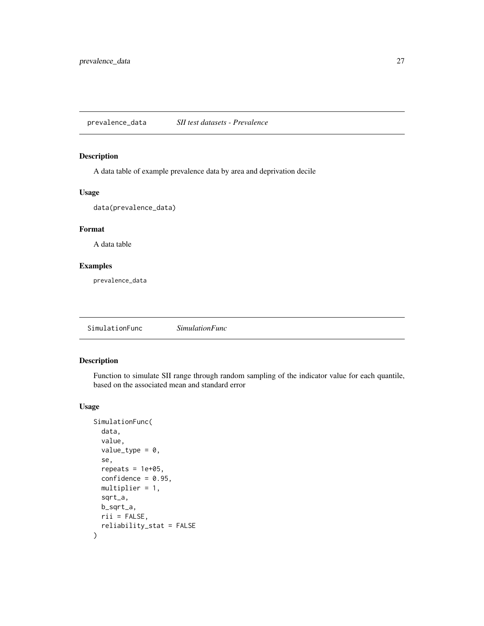<span id="page-26-0"></span>prevalence\_data *SII test datasets - Prevalence*

## Description

A data table of example prevalence data by area and deprivation decile

## Usage

data(prevalence\_data)

## Format

A data table

## Examples

prevalence\_data

SimulationFunc *SimulationFunc*

## Description

Function to simulate SII range through random sampling of the indicator value for each quantile, based on the associated mean and standard error

```
SimulationFunc(
  data,
  value,
  value_type = 0,
  se,
  repeats = 1e+05,
  confidence = 0.95,
 multiplier = 1,
  sqrt_a,
 b_sqrt_a,
 rii = FALSE,
  reliability_stat = FALSE
\mathcal{L}
```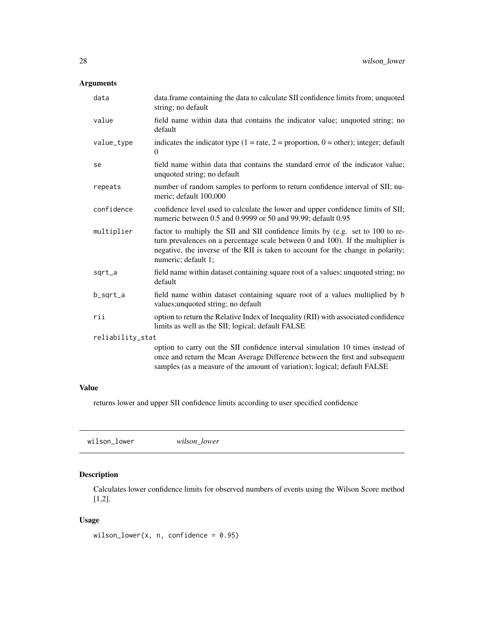## <span id="page-27-0"></span>Arguments

| data             | data.frame containing the data to calculate SII confidence limits from; unquoted<br>string; no default                                                                                                                                                                             |
|------------------|------------------------------------------------------------------------------------------------------------------------------------------------------------------------------------------------------------------------------------------------------------------------------------|
| value            | field name within data that contains the indicator value; unquoted string; no<br>default                                                                                                                                                                                           |
| value_type       | indicates the indicator type $(1 = rate, 2 = proportion, 0 = other)$ ; integer; default<br>$\Omega$                                                                                                                                                                                |
| se               | field name within data that contains the standard error of the indicator value;<br>unquoted string; no default                                                                                                                                                                     |
| repeats          | number of random samples to perform to return confidence interval of SII; nu-<br>meric; default 100,000                                                                                                                                                                            |
| confidence       | confidence level used to calculate the lower and upper confidence limits of SII;<br>numeric between 0.5 and 0.9999 or 50 and 99.99; default 0.95                                                                                                                                   |
| multiplier       | factor to multiply the SII and SII confidence limits by (e.g. set to 100 to re-<br>turn prevalences on a percentage scale between $0$ and $100$ ). If the multiplier is<br>negative, the inverse of the RII is taken to account for the change in polarity;<br>numeric; default 1; |
| sqrt_a           | field name within dataset containing square root of a values; unquoted string; no<br>default                                                                                                                                                                                       |
| b_sqrt_a         | field name within dataset containing square root of a values multiplied by b<br>values; unquoted string; no default                                                                                                                                                                |
| rii              | option to return the Relative Index of Inequality (RII) with associated confidence<br>limits as well as the SII; logical; default FALSE                                                                                                                                            |
| reliability_stat |                                                                                                                                                                                                                                                                                    |
|                  | option to carry out the SII confidence interval simulation 10 times instead of<br>once and return the Mean Average Difference between the first and subsequent<br>samples (as a measure of the amount of variation); logical; default FALSE                                        |

## Value

returns lower and upper SII confidence limits according to user specified confidence

<span id="page-27-1"></span>

|--|--|--|

## Description

Calculates lower confidence limits for observed numbers of events using the Wilson Score method [1,2].

```
wilson_lower(x, n, confidence = 0.95)
```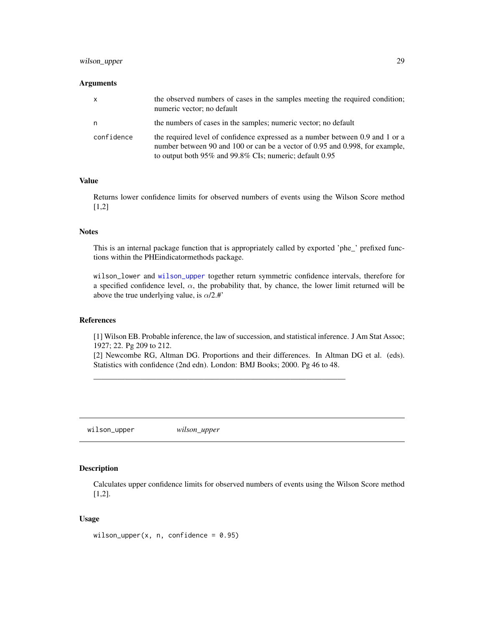## <span id="page-28-0"></span>wilson\_upper 29

#### Arguments

| X          | the observed numbers of cases in the samples meeting the required condition;<br>numeric vector; no default                                                                                                               |
|------------|--------------------------------------------------------------------------------------------------------------------------------------------------------------------------------------------------------------------------|
| n          | the numbers of cases in the samples; numeric vector; no default                                                                                                                                                          |
| confidence | the required level of confidence expressed as a number between 0.9 and 1 or a<br>number between 90 and 100 or can be a vector of 0.95 and 0.998, for example,<br>to output both 95% and 99.8% CIs; numeric; default 0.95 |

#### Value

Returns lower confidence limits for observed numbers of events using the Wilson Score method [1,2]

## **Notes**

This is an internal package function that is appropriately called by exported 'phe\_' prefixed functions within the PHEindicatormethods package.

wilson\_lower and [wilson\\_upper](#page-28-1) together return symmetric confidence intervals, therefore for a specified confidence level,  $\alpha$ , the probability that, by chance, the lower limit returned will be above the true underlying value, is  $\alpha/2.$ #'

## References

[1] Wilson EB. Probable inference, the law of succession, and statistical inference. J Am Stat Assoc; 1927; 22. Pg 209 to 212.

[2] Newcombe RG, Altman DG. Proportions and their differences. In Altman DG et al. (eds). Statistics with confidence (2nd edn). London: BMJ Books; 2000. Pg 46 to 48.

————————————————————————————————

<span id="page-28-1"></span>wilson\_upper *wilson\_upper*

#### Description

Calculates upper confidence limits for observed numbers of events using the Wilson Score method [1,2].

```
wilson_upper(x, n, confidence = 0.95)
```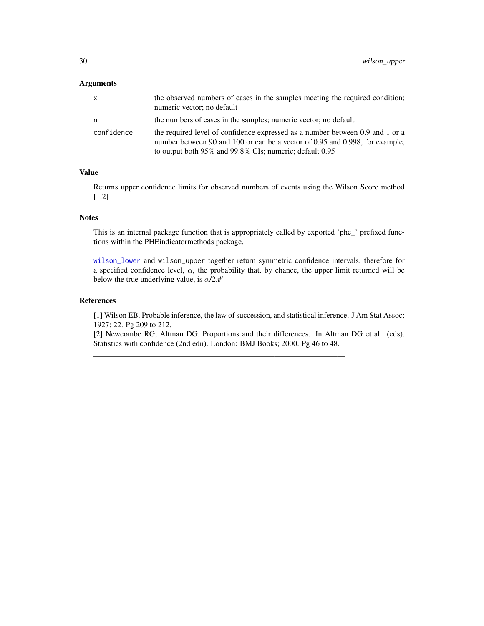## <span id="page-29-0"></span>Arguments

| x          | the observed numbers of cases in the samples meeting the required condition;<br>numeric vector; no default                                                                                                                     |
|------------|--------------------------------------------------------------------------------------------------------------------------------------------------------------------------------------------------------------------------------|
| n          | the numbers of cases in the samples; numeric vector; no default                                                                                                                                                                |
| confidence | the required level of confidence expressed as a number between 0.9 and 1 or a<br>number between 90 and 100 or can be a vector of 0.95 and 0.998, for example,<br>to output both $95\%$ and $99.8\%$ CIs; numeric; default 0.95 |

## Value

Returns upper confidence limits for observed numbers of events using the Wilson Score method [1,2]

## **Notes**

This is an internal package function that is appropriately called by exported 'phe\_' prefixed functions within the PHEindicatormethods package.

[wilson\\_lower](#page-27-1) and wilson\_upper together return symmetric confidence intervals, therefore for a specified confidence level,  $\alpha$ , the probability that, by chance, the upper limit returned will be below the true underlying value, is  $\alpha/2$ .#'

## References

[1] Wilson EB. Probable inference, the law of succession, and statistical inference. J Am Stat Assoc; 1927; 22. Pg 209 to 212.

[2] Newcombe RG, Altman DG. Proportions and their differences. In Altman DG et al. (eds). Statistics with confidence (2nd edn). London: BMJ Books; 2000. Pg 46 to 48.

————————————————————————————————